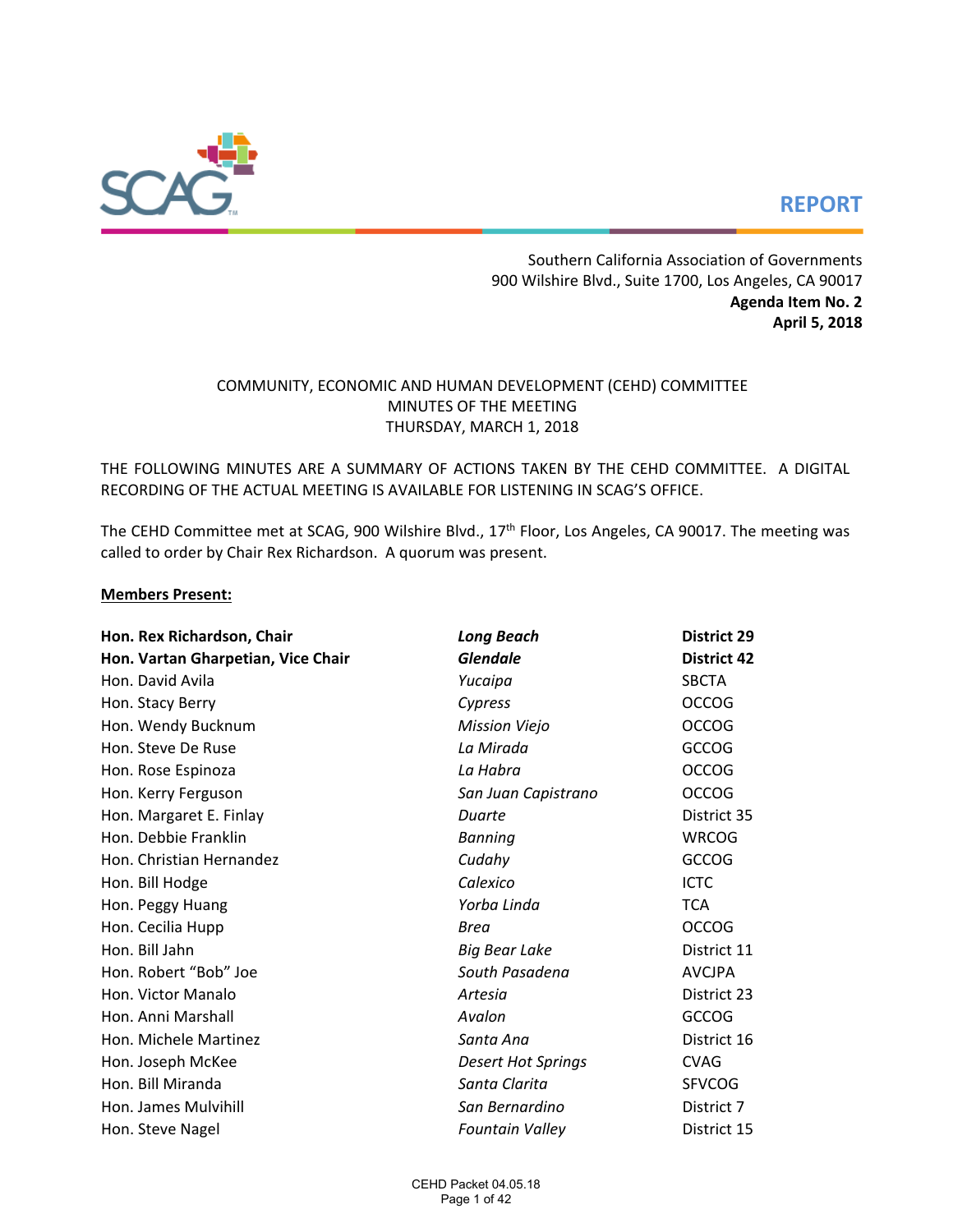

# **REPORT**

Southern California Association of Governments 900 Wilshire Blvd., Suite 1700, Los Angeles, CA 90017 **Agenda Item No. 2 April 5, 2018**

# COMMUNITY, ECONOMIC AND HUMAN DEVELOPMENT (CEHD) COMMITTEE MINUTES OF THE MEETING THURSDAY, MARCH 1, 2018

THE FOLLOWING MINUTES ARE A SUMMARY OF ACTIONS TAKEN BY THE CEHD COMMITTEE. A DIGITAL RECORDING OF THE ACTUAL MEETING IS AVAILABLE FOR LISTENING IN SCAG'S OFFICE.

The CEHD Committee met at SCAG, 900 Wilshire Blvd., 17<sup>th</sup> Floor, Los Angeles, CA 90017. The meeting was called to order by Chair Rex Richardson. A quorum was present.

#### **Members Present:**

| Hon. Rex Richardson, Chair         | <b>Long Beach</b>         | <b>District 29</b> |  |  |  |  |
|------------------------------------|---------------------------|--------------------|--|--|--|--|
| Hon. Vartan Gharpetian, Vice Chair | <b>Glendale</b>           | <b>District 42</b> |  |  |  |  |
| Hon. David Avila                   | Yucaipa                   | <b>SBCTA</b>       |  |  |  |  |
| Hon. Stacy Berry                   | Cypress                   | <b>OCCOG</b>       |  |  |  |  |
| Hon. Wendy Bucknum                 | <b>Mission Viejo</b>      | <b>OCCOG</b>       |  |  |  |  |
| Hon. Steve De Ruse                 | La Mirada                 | <b>GCCOG</b>       |  |  |  |  |
| Hon. Rose Espinoza                 | La Habra                  | <b>OCCOG</b>       |  |  |  |  |
| Hon. Kerry Ferguson                | San Juan Capistrano       | <b>OCCOG</b>       |  |  |  |  |
| Hon. Margaret E. Finlay            | Duarte                    | District 35        |  |  |  |  |
| Hon. Debbie Franklin               | <b>Banning</b>            | <b>WRCOG</b>       |  |  |  |  |
| Hon. Christian Hernandez           | Cudahy                    | <b>GCCOG</b>       |  |  |  |  |
| Hon. Bill Hodge                    | Calexico                  | <b>ICTC</b>        |  |  |  |  |
| Hon. Peggy Huang                   | Yorba Linda               | <b>TCA</b>         |  |  |  |  |
| Hon. Cecilia Hupp                  | <b>Brea</b>               | <b>OCCOG</b>       |  |  |  |  |
| Hon. Bill Jahn                     | <b>Big Bear Lake</b>      | District 11        |  |  |  |  |
| Hon. Robert "Bob" Joe              | South Pasadena            | <b>AVCJPA</b>      |  |  |  |  |
| Hon. Victor Manalo                 | Artesia                   | District 23        |  |  |  |  |
| Hon. Anni Marshall                 | Avalon                    | <b>GCCOG</b>       |  |  |  |  |
| Hon. Michele Martinez              | Santa Ana                 | District 16        |  |  |  |  |
| Hon. Joseph McKee                  | <b>Desert Hot Springs</b> | <b>CVAG</b>        |  |  |  |  |
| Hon. Bill Miranda                  | Santa Clarita             | <b>SFVCOG</b>      |  |  |  |  |
| Hon. James Mulvihill               | San Bernardino            | District 7         |  |  |  |  |
| Hon. Steve Nagel                   | <b>Fountain Valley</b>    | District 15        |  |  |  |  |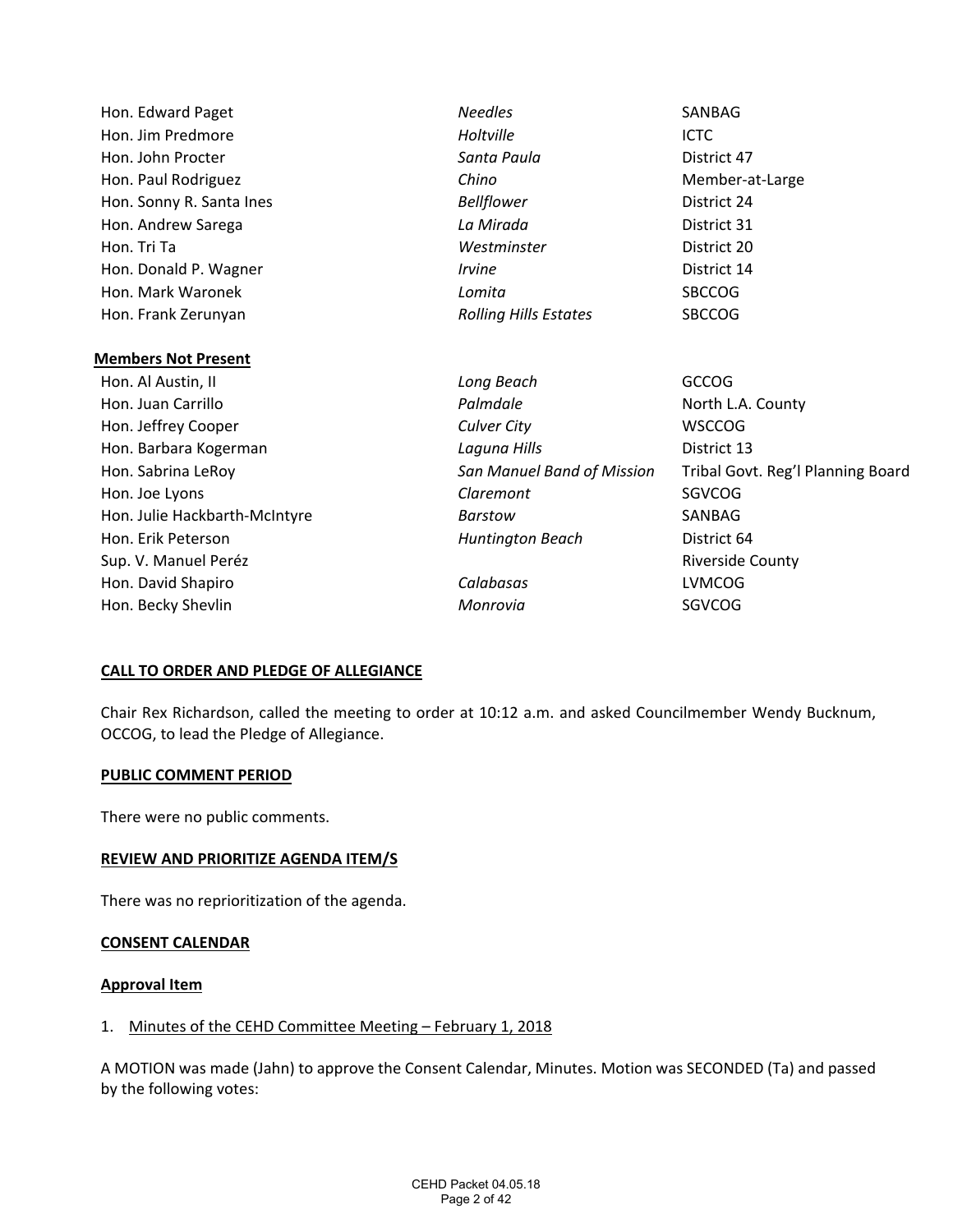| Hon. Edward Paget             | <b>Needles</b>               | SANBAG                            |
|-------------------------------|------------------------------|-----------------------------------|
| Hon. Jim Predmore             | Holtville                    | <b>ICTC</b>                       |
| Hon. John Procter             | Santa Paula                  | District 47                       |
| Hon. Paul Rodriguez           | Chino                        | Member-at-Large                   |
| Hon. Sonny R. Santa Ines      | <b>Bellflower</b>            | District 24                       |
| Hon. Andrew Sarega            | La Mirada                    | District 31                       |
| Hon. Tri Ta                   | Westminster                  | District 20                       |
| Hon. Donald P. Wagner         | <i><u><b>Irvine</b></u></i>  | District 14                       |
| Hon, Mark Waronek             | Lomita                       | <b>SBCCOG</b>                     |
| Hon. Frank Zerunyan           | <b>Rolling Hills Estates</b> | <b>SBCCOG</b>                     |
|                               |                              |                                   |
| <b>Members Not Present</b>    |                              |                                   |
| Hon. Al Austin, II            | Long Beach                   | <b>GCCOG</b>                      |
| Hon. Juan Carrillo            | Palmdale                     | North L.A. County                 |
| Hon. Jeffrey Cooper           | Culver City                  | <b>WSCCOG</b>                     |
| Hon. Barbara Kogerman         | Laguna Hills                 | District 13                       |
| Hon. Sabrina LeRoy            | San Manuel Band of Mission   | Tribal Govt. Reg'l Planning Board |
| Hon. Joe Lyons                | Claremont                    | SGVCOG                            |
| Hon. Julie Hackbarth-McIntyre | Barstow                      | SANBAG                            |
| Hon. Erik Peterson            | Huntington Beach             | District 64                       |
| Sup. V. Manuel Peréz          |                              | <b>Riverside County</b>           |
| Hon. David Shapiro            | Calabasas                    | <b>LVMCOG</b>                     |
| Hon. Becky Shevlin            | Monrovia                     | SGVCOG                            |
|                               |                              |                                   |

### **CALL TO ORDER AND PLEDGE OF ALLEGIANCE**

Chair Rex Richardson, called the meeting to order at 10:12 a.m. and asked Councilmember Wendy Bucknum, OCCOG, to lead the Pledge of Allegiance.

#### **PUBLIC COMMENT PERIOD**

There were no public comments.

#### **REVIEW AND PRIORITIZE AGENDA ITEM/S**

There was no reprioritization of the agenda.

#### **CONSENT CALENDAR**

#### **Approval Item**

## 1. Minutes of the CEHD Committee Meeting – February 1, 2018

A MOTION was made (Jahn) to approve the Consent Calendar, Minutes. Motion was SECONDED (Ta) and passed by the following votes: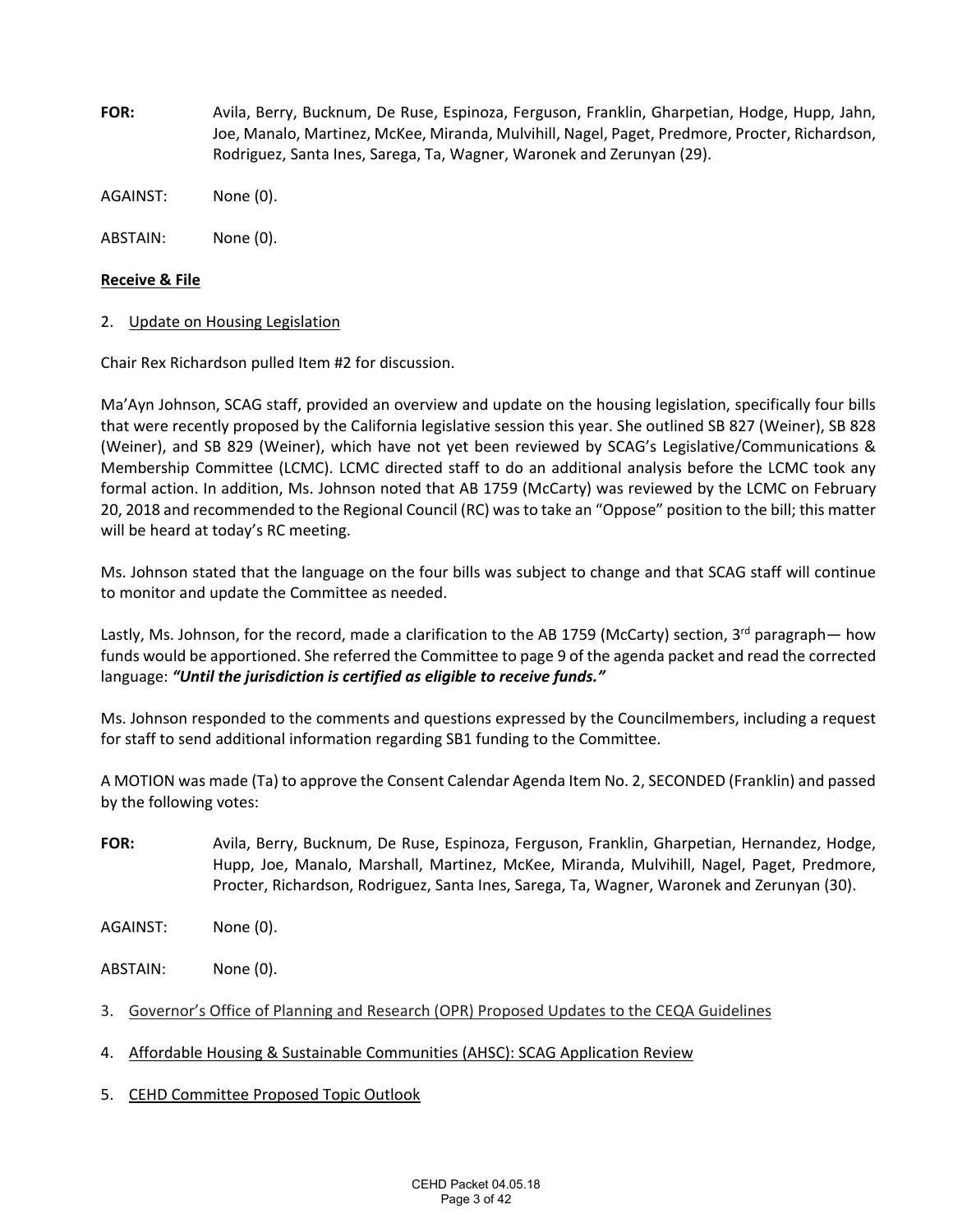- **FOR:**  Avila, Berry, Bucknum, De Ruse, Espinoza, Ferguson, Franklin, Gharpetian, Hodge, Hupp, Jahn, Joe, Manalo, Martinez, McKee, Miranda, Mulvihill, Nagel, Paget, Predmore, Procter, Richardson, Rodriguez, Santa Ines, Sarega, Ta, Wagner, Waronek and Zerunyan (29).
- AGAINST: None (0).

ABSTAIN: None (0).

#### **Receive & File**

2. Update on Housing Legislation

Chair Rex Richardson pulled Item #2 for discussion.

Ma'Ayn Johnson, SCAG staff, provided an overview and update on the housing legislation, specifically four bills that were recently proposed by the California legislative session this year. She outlined SB 827 (Weiner), SB 828 (Weiner), and SB 829 (Weiner), which have not yet been reviewed by SCAG's Legislative/Communications & Membership Committee (LCMC). LCMC directed staff to do an additional analysis before the LCMC took any formal action. In addition, Ms. Johnson noted that AB 1759 (McCarty) was reviewed by the LCMC on February 20, 2018 and recommended to the Regional Council (RC) was to take an "Oppose" position to the bill; this matter will be heard at today's RC meeting.

Ms. Johnson stated that the language on the four bills was subject to change and that SCAG staff will continue to monitor and update the Committee as needed.

Lastly, Ms. Johnson, for the record, made a clarification to the AB 1759 (McCarty) section, 3<sup>rd</sup> paragraph— how funds would be apportioned. She referred the Committee to page 9 of the agenda packet and read the corrected language: *"Until the jurisdiction is certified as eligible to receive funds."*

Ms. Johnson responded to the comments and questions expressed by the Councilmembers, including a request for staff to send additional information regarding SB1 funding to the Committee.

A MOTION was made (Ta) to approve the Consent Calendar Agenda Item No. 2, SECONDED (Franklin) and passed by the following votes:

- **FOR:**  Avila, Berry, Bucknum, De Ruse, Espinoza, Ferguson, Franklin, Gharpetian, Hernandez, Hodge, Hupp, Joe, Manalo, Marshall, Martinez, McKee, Miranda, Mulvihill, Nagel, Paget, Predmore, Procter, Richardson, Rodriguez, Santa Ines, Sarega, Ta, Wagner, Waronek and Zerunyan (30).
- AGAINST: None (0).

ABSTAIN: None (0).

- 3. Governor's Office of Planning and Research (OPR) Proposed Updates to the CEQA Guidelines
- 4. Affordable Housing & Sustainable Communities (AHSC): SCAG Application Review
- 5. CEHD Committee Proposed Topic Outlook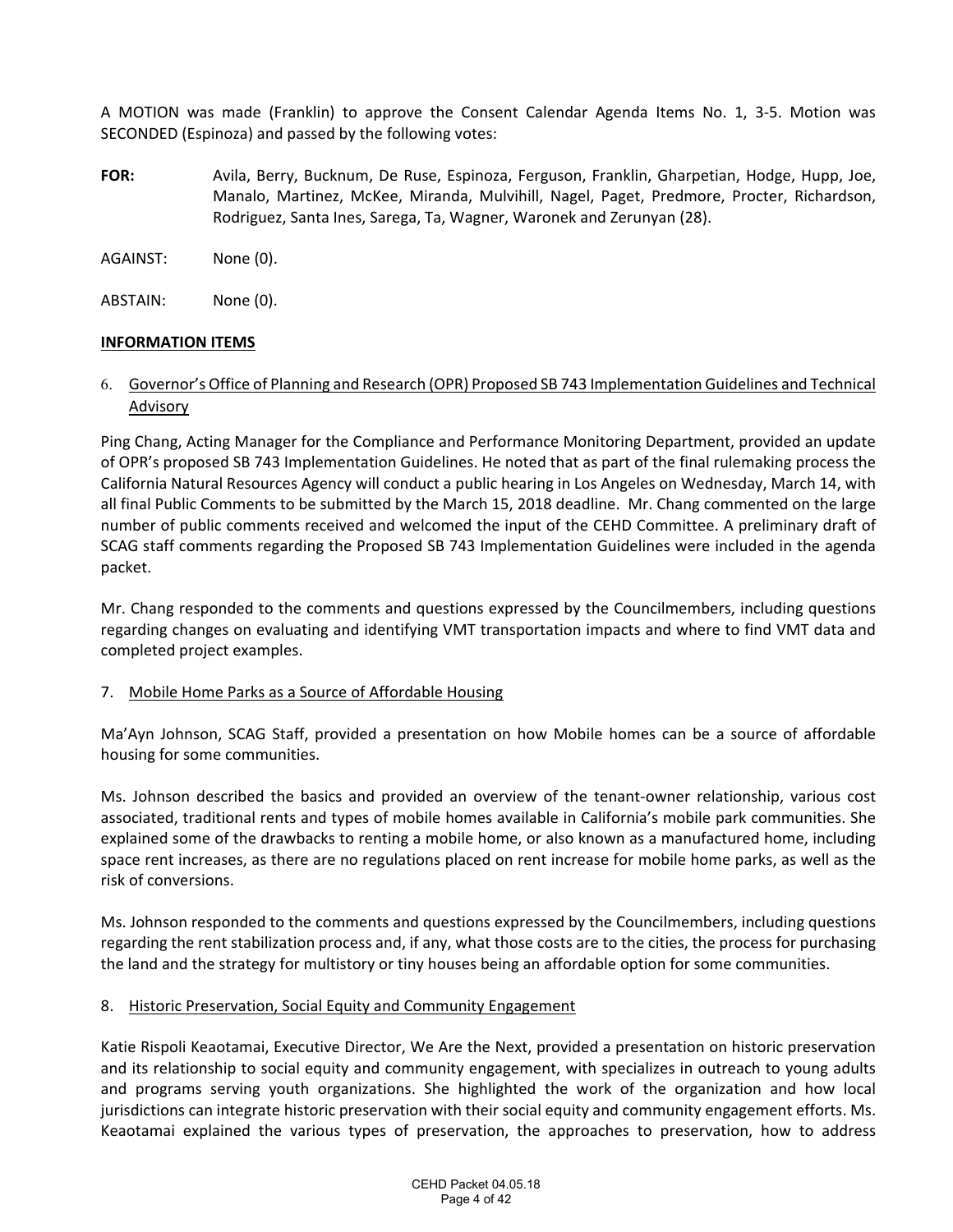A MOTION was made (Franklin) to approve the Consent Calendar Agenda Items No. 1, 3‐5. Motion was SECONDED (Espinoza) and passed by the following votes:

- **FOR:**  Avila, Berry, Bucknum, De Ruse, Espinoza, Ferguson, Franklin, Gharpetian, Hodge, Hupp, Joe, Manalo, Martinez, McKee, Miranda, Mulvihill, Nagel, Paget, Predmore, Procter, Richardson, Rodriguez, Santa Ines, Sarega, Ta, Wagner, Waronek and Zerunyan (28).
- AGAINST: None (0).
- ABSTAIN: None (0).

# **INFORMATION ITEMS**

# 6. Governor's Office of Planning and Research (OPR) Proposed SB 743 Implementation Guidelines and Technical Advisory

Ping Chang, Acting Manager for the Compliance and Performance Monitoring Department, provided an update of OPR's proposed SB 743 Implementation Guidelines. He noted that as part of the final rulemaking process the California Natural Resources Agency will conduct a public hearing in Los Angeles on Wednesday, March 14, with all final Public Comments to be submitted by the March 15, 2018 deadline. Mr. Chang commented on the large number of public comments received and welcomed the input of the CEHD Committee. A preliminary draft of SCAG staff comments regarding the Proposed SB 743 Implementation Guidelines were included in the agenda packet.

Mr. Chang responded to the comments and questions expressed by the Councilmembers, including questions regarding changes on evaluating and identifying VMT transportation impacts and where to find VMT data and completed project examples.

# 7. Mobile Home Parks as a Source of Affordable Housing

Ma'Ayn Johnson, SCAG Staff, provided a presentation on how Mobile homes can be a source of affordable housing for some communities.

Ms. Johnson described the basics and provided an overview of the tenant‐owner relationship, various cost associated, traditional rents and types of mobile homes available in California's mobile park communities. She explained some of the drawbacks to renting a mobile home, or also known as a manufactured home, including space rent increases, as there are no regulations placed on rent increase for mobile home parks, as well as the risk of conversions.

Ms. Johnson responded to the comments and questions expressed by the Councilmembers, including questions regarding the rent stabilization process and, if any, what those costs are to the cities, the process for purchasing the land and the strategy for multistory or tiny houses being an affordable option for some communities.

### 8. Historic Preservation, Social Equity and Community Engagement

Katie Rispoli Keaotamai, Executive Director, We Are the Next, provided a presentation on historic preservation and its relationship to social equity and community engagement, with specializes in outreach to young adults and programs serving youth organizations. She highlighted the work of the organization and how local jurisdictions can integrate historic preservation with their social equity and community engagement efforts. Ms. Keaotamai explained the various types of preservation, the approaches to preservation, how to address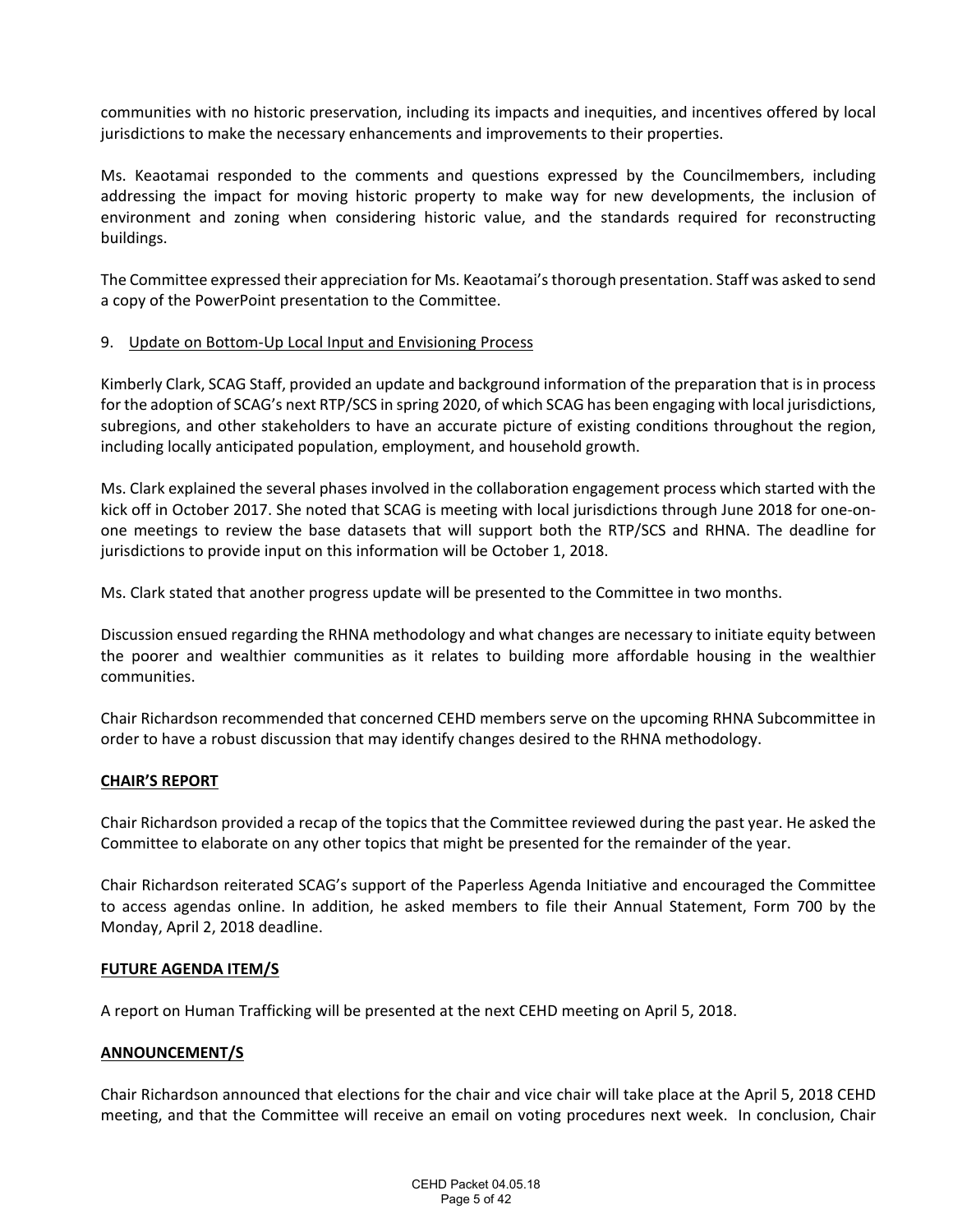communities with no historic preservation, including its impacts and inequities, and incentives offered by local jurisdictions to make the necessary enhancements and improvements to their properties.

Ms. Keaotamai responded to the comments and questions expressed by the Councilmembers, including addressing the impact for moving historic property to make way for new developments, the inclusion of environment and zoning when considering historic value, and the standards required for reconstructing buildings.

The Committee expressed their appreciation for Ms. Keaotamai's thorough presentation. Staff was asked to send a copy of the PowerPoint presentation to the Committee.

### 9. Update on Bottom‐Up Local Input and Envisioning Process

Kimberly Clark, SCAG Staff, provided an update and background information of the preparation that is in process for the adoption of SCAG's next RTP/SCS in spring 2020, of which SCAG has been engaging with local jurisdictions, subregions, and other stakeholders to have an accurate picture of existing conditions throughout the region, including locally anticipated population, employment, and household growth.

Ms. Clark explained the several phases involved in the collaboration engagement process which started with the kick off in October 2017. She noted that SCAG is meeting with local jurisdictions through June 2018 for one‐on‐ one meetings to review the base datasets that will support both the RTP/SCS and RHNA. The deadline for jurisdictions to provide input on this information will be October 1, 2018.

Ms. Clark stated that another progress update will be presented to the Committee in two months.

Discussion ensued regarding the RHNA methodology and what changes are necessary to initiate equity between the poorer and wealthier communities as it relates to building more affordable housing in the wealthier communities.

Chair Richardson recommended that concerned CEHD members serve on the upcoming RHNA Subcommittee in order to have a robust discussion that may identify changes desired to the RHNA methodology.

### **CHAIR'S REPORT**

Chair Richardson provided a recap of the topics that the Committee reviewed during the past year. He asked the Committee to elaborate on any other topics that might be presented for the remainder of the year.

Chair Richardson reiterated SCAG's support of the Paperless Agenda Initiative and encouraged the Committee to access agendas online. In addition, he asked members to file their Annual Statement, Form 700 by the Monday, April 2, 2018 deadline.

### **FUTURE AGENDA ITEM/S**

A report on Human Trafficking will be presented at the next CEHD meeting on April 5, 2018.

# **ANNOUNCEMENT/S**

Chair Richardson announced that elections for the chair and vice chair will take place at the April 5, 2018 CEHD meeting, and that the Committee will receive an email on voting procedures next week. In conclusion, Chair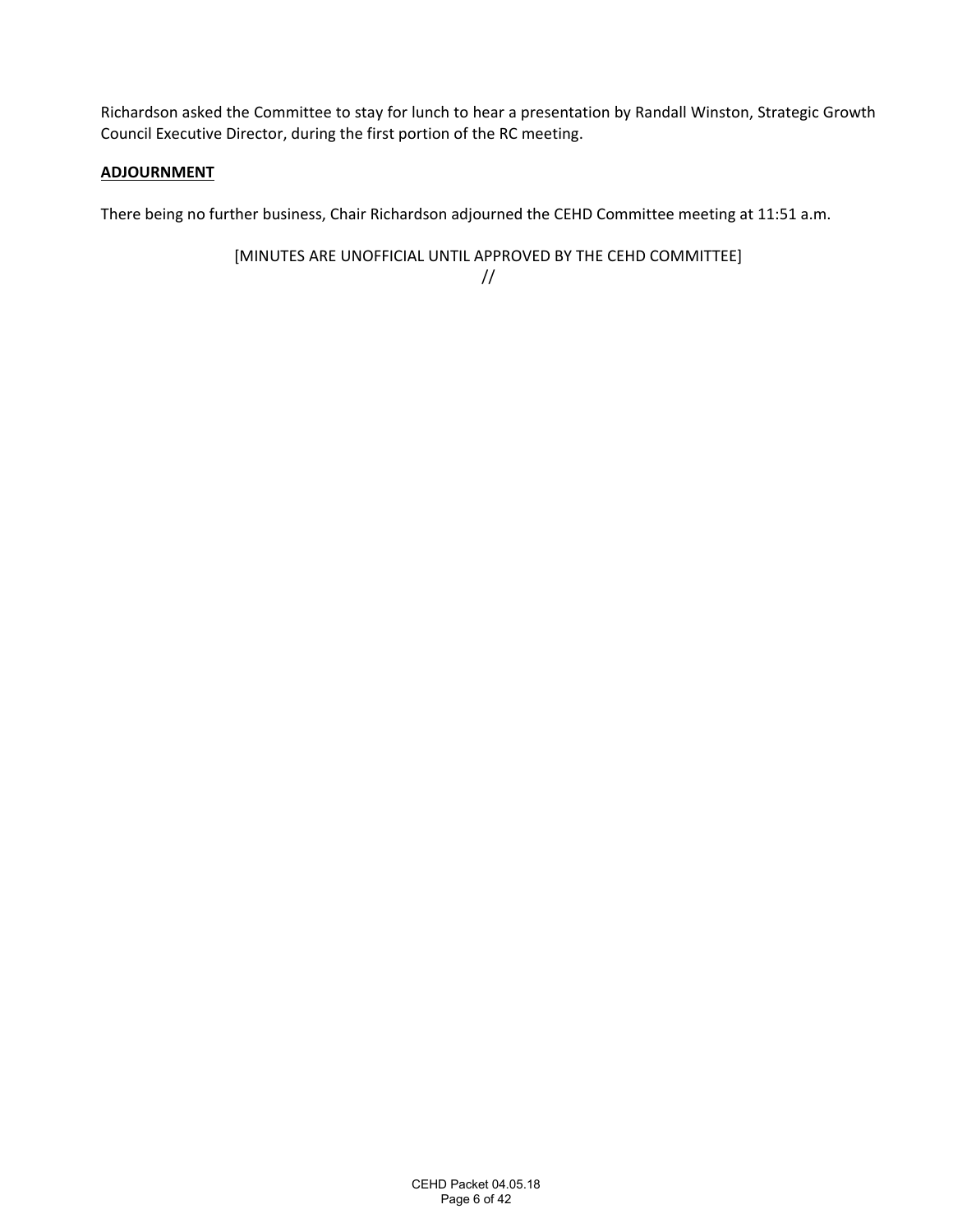Richardson asked the Committee to stay for lunch to hear a presentation by Randall Winston, Strategic Growth Council Executive Director, during the first portion of the RC meeting.

# **ADJOURNMENT**

There being no further business, Chair Richardson adjourned the CEHD Committee meeting at 11:51 a.m.

[MINUTES ARE UNOFFICIAL UNTIL APPROVED BY THE CEHD COMMITTEE] //